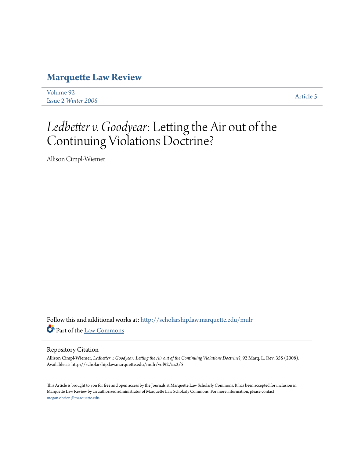# **[Marquette Law Review](http://scholarship.law.marquette.edu/mulr?utm_source=scholarship.law.marquette.edu%2Fmulr%2Fvol92%2Fiss2%2F5&utm_medium=PDF&utm_campaign=PDFCoverPages)**

[Volume 92](http://scholarship.law.marquette.edu/mulr/vol92?utm_source=scholarship.law.marquette.edu%2Fmulr%2Fvol92%2Fiss2%2F5&utm_medium=PDF&utm_campaign=PDFCoverPages) Issue 2 *[Winter 2008](http://scholarship.law.marquette.edu/mulr/vol92/iss2?utm_source=scholarship.law.marquette.edu%2Fmulr%2Fvol92%2Fiss2%2F5&utm_medium=PDF&utm_campaign=PDFCoverPages)* [Article 5](http://scholarship.law.marquette.edu/mulr/vol92/iss2/5?utm_source=scholarship.law.marquette.edu%2Fmulr%2Fvol92%2Fiss2%2F5&utm_medium=PDF&utm_campaign=PDFCoverPages)

# *Ledbetter v. Goodyear*: Letting the Air out of the Continuing Violations Doctrine?

Allison Cimpl-Wiemer

Follow this and additional works at: [http://scholarship.law.marquette.edu/mulr](http://scholarship.law.marquette.edu/mulr?utm_source=scholarship.law.marquette.edu%2Fmulr%2Fvol92%2Fiss2%2F5&utm_medium=PDF&utm_campaign=PDFCoverPages) Part of the [Law Commons](http://network.bepress.com/hgg/discipline/578?utm_source=scholarship.law.marquette.edu%2Fmulr%2Fvol92%2Fiss2%2F5&utm_medium=PDF&utm_campaign=PDFCoverPages)

#### Repository Citation

Allison Cimpl-Wiemer, *Ledbetter v. Goodyear: Letting the Air out of the Continuing Violations Doctrine?*, 92 Marq. L. Rev. 355 (2008). Available at: http://scholarship.law.marquette.edu/mulr/vol92/iss2/5

This Article is brought to you for free and open access by the Journals at Marquette Law Scholarly Commons. It has been accepted for inclusion in Marquette Law Review by an authorized administrator of Marquette Law Scholarly Commons. For more information, please contact [megan.obrien@marquette.edu.](mailto:megan.obrien@marquette.edu)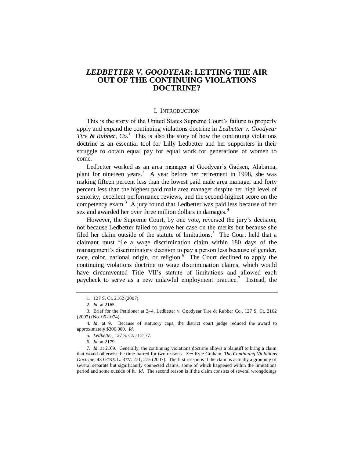# *LEDBETTER V. GOODYEAR***: LETTING THE AIR OUT OF THE CONTINUING VIOLATIONS DOCTRINE?**

#### I. INTRODUCTION

This is the story of the United States Supreme Court's failure to properly apply and expand the continuing violations doctrine in *Ledbetter v. Goodyear Tire & Rubber, Co.*<sup>1</sup> This is also the story of how the continuing violations doctrine is an essential tool for Lilly Ledbetter and her supporters in their struggle to obtain equal pay for equal work for generations of women to come.

Ledbetter worked as an area manager at Goodyear's Gadsen, Alabama, plant for nineteen years.<sup>2</sup> A year before her retirement in 1998, she was making fifteen percent less than the lowest paid male area manager and forty percent less than the highest paid male area manager despite her high level of seniority, excellent performance reviews, and the second-highest score on the competency exam. $3^{3}$  A jury found that Ledbetter was paid less because of her sex and awarded her over three million dollars in damages.<sup>4</sup>

However, the Supreme Court, by one vote, reversed the jury's decision, not because Ledbetter failed to prove her case on the merits but because she filed her claim outside of the statute of limitations.<sup>5</sup> The Court held that a claimant must file a wage discrimination claim within 180 days of the management's discriminatory decision to pay a person less because of gender, race, color, national origin, or religion. $6\degree$  The Court declined to apply the continuing violations doctrine to wage discrimination claims, which would have circumvented Title VII's statute of limitations and allowed each paycheck to serve as a new unlawful employment practice.<sup>7</sup> Instead, the

5*. Ledbetter*, 127 S. Ct. at 2177.

6*. Id*. at 2179.

7*. Id*. at 2169. Generally, the continuing violations doctrine allows a plaintiff to bring a claim that would otherwise be time-barred for two reasons. *See* Kyle Graham, *The Continuing Violations Doctrine*, 43 GONZ. L. REV. 271, 275 (2007). The first reason is if the claim is actually a grouping of several separate but significantly connected claims, some of which happened within the limitations period and some outside of it. *Id.* The second reason is if the claim consists of several wrongdoings

<sup>1.</sup> 127 S. Ct. 2162 (2007).

<sup>2</sup>*. Id.* at 2165.

<sup>3.</sup> Brief for the Petitioner at 3–4, Ledbetter v. Goodyear Tire & Rubber Co., 127 S. Ct. 2162 (2007) (No. 05-1074).

<sup>4</sup>*. Id*. at 9. Because of statutory caps, the district court judge reduced the award to approximately \$300,000. *Id.*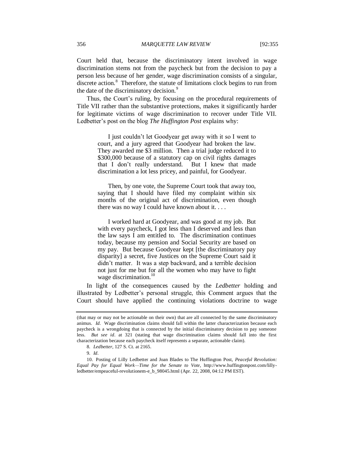Court held that, because the discriminatory intent involved in wage discrimination stems not from the paycheck but from the decision to pay a person less because of her gender, wage discrimination consists of a singular, discrete action.<sup>8</sup> Therefore, the statute of limitations clock begins to run from the date of the discriminatory decision.<sup>9</sup>

Thus, the Court's ruling, by focusing on the procedural requirements of Title VII rather than the substantive protections, makes it significantly harder for legitimate victims of wage discrimination to recover under Title VII. Ledbetter's post on the blog *The Huffington Post* explains why:

> I just couldn't let Goodyear get away with it so I went to court, and a jury agreed that Goodyear had broken the law. They awarded me \$3 million. Then a trial judge reduced it to \$300,000 because of a statutory cap on civil rights damages that I don't really understand. But I knew that made discrimination a lot less pricey, and painful, for Goodyear.

> Then, by one vote, the Supreme Court took that away too, saying that I should have filed my complaint within six months of the original act of discrimination, even though there was no way I could have known about it. . . .

> I worked hard at Goodyear, and was good at my job. But with every paycheck, I got less than I deserved and less than the law says I am entitled to. The discrimination continues today, because my pension and Social Security are based on my pay. But because Goodyear kept [the discriminatory pay disparity] a secret, five Justices on the Supreme Court said it didn't matter. It was a step backward, and a terrible decision not just for me but for all the women who may have to fight wage discrimination.<sup>10</sup>

In light of the consequences caused by the *Ledbetter* holding and illustrated by Ledbetter's personal struggle, this Comment argues that the Court should have applied the continuing violations doctrine to wage

<sup>(</sup>that may or may not be actionable on their own) that are all connected by the same discriminatory animus. *Id.* Wage discrimination claims should fall within the latter characterization because each paycheck is a wrongdoing that is connected by the initial discriminatory decision to pay someone less. *But see id*. at 321 (stating that wage discrimination claims should fall into the first characterization because each paycheck itself represents a separate, actionable claim).

<sup>8</sup>*. Ledbetter*, 127 S. Ct. at 2165.

<sup>9</sup>*. Id.*

<sup>10.</sup> Posting of Lilly Ledbetter and Joan Blades to The Huffington Post, *Peaceful Revolution: Equal Pay for Equal Work—Time for the Senate to Vote*, http://www.huffingtonpost.com/lillyledbetter/empeaceful-revolutionem-e\_b\_98045.html (Apr. 22, 2008, 04:12 PM EST).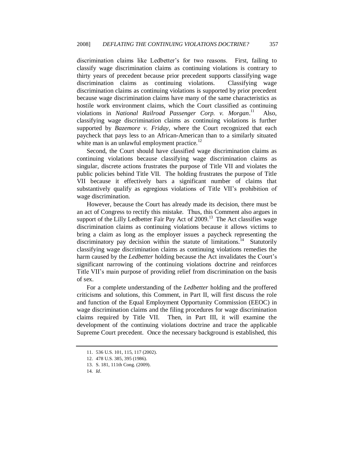discrimination claims like Ledbetter's for two reasons. First, failing to classify wage discrimination claims as continuing violations is contrary to thirty years of precedent because prior precedent supports classifying wage discrimination claims as continuing violations. Classifying wage discrimination claims as continuing violations is supported by prior precedent because wage discrimination claims have many of the same characteristics as hostile work environment claims, which the Court classified as continuing violations in *National Railroad Passenger Corp. v. Morgan.*<sup>11</sup> Also, classifying wage discrimination claims as continuing violations is further supported by *Bazemore v. Friday*, where the Court recognized that each paycheck that pays less to an African-American than to a similarly situated white man is an unlawful employment practice.<sup>12</sup>

Second, the Court should have classified wage discrimination claims as continuing violations because classifying wage discrimination claims as singular, discrete actions frustrates the purpose of Title VII and violates the public policies behind Title VII. The holding frustrates the purpose of Title VII because it effectively bars a significant number of claims that substantively qualify as egregious violations of Title VII's prohibition of wage discrimination.

However, because the Court has already made its decision, there must be an act of Congress to rectify this mistake. Thus, this Comment also argues in support of the Lilly Ledbetter Fair Pay Act of 2009.<sup>13</sup> The Act classifies wage discrimination claims as continuing violations because it allows victims to bring a claim as long as the employer issues a paycheck representing the discriminatory pay decision within the statute of limitations.<sup>14</sup> Statutorily classifying wage discrimination claims as continuing violations remedies the harm caused by the *Ledbetter* holding because the Act invalidates the Court's significant narrowing of the continuing violations doctrine and reinforces Title VII's main purpose of providing relief from discrimination on the basis of sex.

For a complete understanding of the *Ledbetter* holding and the proffered criticisms and solutions, this Comment, in Part II, will first discuss the role and function of the Equal Employment Opportunity Commission (EEOC) in wage discrimination claims and the filing procedures for wage discrimination claims required by Title VII. Then, in Part III, it will examine the development of the continuing violations doctrine and trace the applicable Supreme Court precedent. Once the necessary background is established, this

<sup>11.</sup> 536 U.S. 101, 115, 117 (2002).

<sup>12.</sup> 478 U.S. 385, 395 (1986).

<sup>13.</sup> S. 181, 111th Cong. (2009).

<sup>14</sup>*. Id*.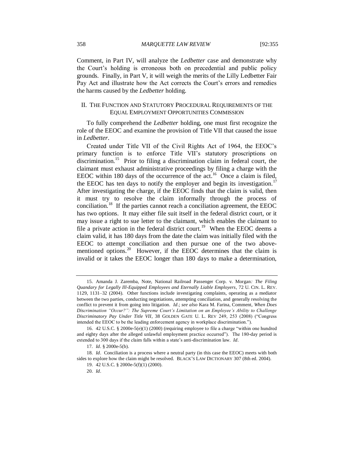Comment, in Part IV, will analyze the *Ledbetter* case and demonstrate why the Court's holding is erroneous both on precedential and public policy grounds. Finally, in Part V, it will weigh the merits of the Lilly Ledbetter Fair Pay Act and illustrate how the Act corrects the Court's errors and remedies the harms caused by the *Ledbetter* holding.

#### II. THE FUNCTION AND STATUTORY PROCEDURAL REQUIREMENTS OF THE EQUAL EMPLOYMENT OPPORTUNITIES COMMISSION

To fully comprehend the *Ledbetter* holding, one must first recognize the role of the EEOC and examine the provision of Title VII that caused the issue in *Ledbetter*.

Created under Title VII of the Civil Rights Act of 1964, the EEOC's primary function is to enforce Title VII's statutory proscriptions on discrimination.<sup>15</sup> Prior to filing a discrimination claim in federal court, the claimant must exhaust administrative proceedings by filing a charge with the EEOC within 180 days of the occurrence of the act.<sup>16</sup> Once a claim is filed, the EEOC has ten days to notify the employer and begin its investigation.<sup>17</sup> After investigating the charge, if the EEOC finds that the claim is valid, then it must try to resolve the claim informally through the process of conciliation.<sup>18</sup> If the parties cannot reach a conciliation agreement, the EEOC has two options. It may either file suit itself in the federal district court, or it may issue a right to sue letter to the claimant, which enables the claimant to file a private action in the federal district court.<sup>19</sup> When the EEOC deems a claim valid, it has 180 days from the date the claim was initially filed with the EEOC to attempt conciliation and then pursue one of the two abovementioned options.<sup>20</sup> However, if the EEOC determines that the claim is invalid or it takes the EEOC longer than 180 days to make a determination,

<sup>15.</sup> Amanda J. Zaremba, Note, National Railroad Passenger Corp. v. Morgan*: The Filing Quandary for Legally Ill-Equipped Employees and Eternally Liable Employers*, 72 U. CIN. L. REV. 1129, 1131–32 (2004). Other functions include investigating complaints, operating as a mediator between the two parties, conducting negotiations, attempting conciliation, and generally resolving the conflict to prevent it from going into litigation. *Id*.; *see also* Kara M. Farina, Comment*, When Does Discrimination "Occur?": The Supreme Court's Limitation on an Employee's Ability to Challenge Discriminatory Pay Under Title VII*, 38 GOLDEN GATE U. L. REV 249, 253 (2008) ("Congress intended the EEOC to be the leading enforcement agency in workplace discrimination.").

<sup>16. 42</sup> U.S.C. § 2000e-5(e)(1) (2000) (requiring employee to file a charge "within one hundred and eighty days after the alleged unlawful employment practice occurred"). The 180-day period is extended to 300 days if the claim falls within a state's anti-discrimination law. *Id*.

<sup>17</sup>*. Id*. § 2000e-5(b).

<sup>18</sup>*. Id*. Conciliation is a process where a neutral party (in this case the EEOC) meets with both sides to explore how the claim might be resolved. BLACK'S LAW DICTIONARY 307 (8th ed. 2004).

<sup>19.</sup> 42 U.S.C. § 2000e-5(f)(1) (2000).

<sup>20</sup>*. Id*.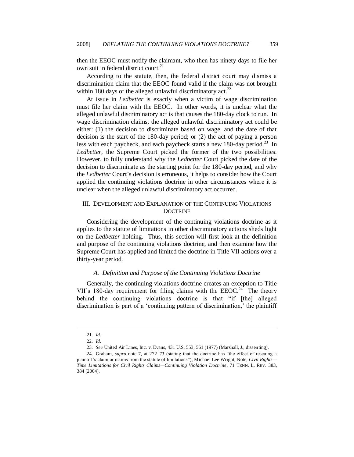then the EEOC must notify the claimant, who then has ninety days to file her own suit in federal district court.<sup>21</sup>

According to the statute, then, the federal district court may dismiss a discrimination claim that the EEOC found valid if the claim was not brought within 180 days of the alleged unlawful discriminatory act. $^{22}$ 

At issue in *Ledbetter* is exactly when a victim of wage discrimination must file her claim with the EEOC. In other words, it is unclear what the alleged unlawful discriminatory act is that causes the 180-day clock to run. In wage discrimination claims, the alleged unlawful discriminatory act could be either: (1) the decision to discriminate based on wage, and the date of that decision is the start of the 180-day period; or (2) the act of paying a person less with each paycheck, and each paycheck starts a new 180-day period.<sup>23</sup> In *Ledbetter*, the Supreme Court picked the former of the two possibilities. However, to fully understand why the *Ledbetter* Court picked the date of the decision to discriminate as the starting point for the 180-day period, and why the *Ledbetter* Court's decision is erroneous, it helps to consider how the Court applied the continuing violations doctrine in other circumstances where it is unclear when the alleged unlawful discriminatory act occurred.

# III. DEVELOPMENT AND EXPLANATION OF THE CONTINUING VIOLATIONS DOCTRINE

Considering the development of the continuing violations doctrine as it applies to the statute of limitations in other discriminatory actions sheds light on the *Ledbetter* holding. Thus, this section will first look at the definition and purpose of the continuing violations doctrine, and then examine how the Supreme Court has applied and limited the doctrine in Title VII actions over a thirty-year period.

# *A. Definition and Purpose of the Continuing Violations Doctrine*

Generally, the continuing violations doctrine creates an exception to Title VII's 180-day requirement for filing claims with the  $EEOC<sup>24</sup>$  The theory behind the continuing violations doctrine is that "if [the] alleged discrimination is part of a 'continuing pattern of discrimination,' the plaintiff

<sup>21</sup>*. Id*.

<sup>22</sup>*. Id.*

<sup>23</sup>*. See* United Air Lines, Inc. v. Evans, 431 U.S. 553, 561 (1977) (Marshall, J., dissenting).

<sup>24.</sup> Graham, *supra* note 7, at 272–73 (stating that the doctrine has "the effect of rescuing a plaintiff's claim or claims from the statute of limitations‖); Michael Lee Wright, Note, *Civil Rights— Time Limitations for Civil Rights Claims—Continuing Violation Doctrine*, 71 TENN. L. REV. 383, 384 (2004).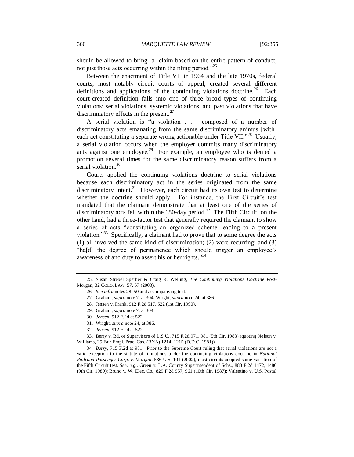should be allowed to bring [a] claim based on the entire pattern of conduct, not just those acts occurring within the filing period.<sup> $25$ </sup>

Between the enactment of Title VII in 1964 and the late 1970s, federal courts, most notably circuit courts of appeal, created several different definitions and applications of the continuing violations doctrine.<sup>26</sup> Each court-created definition falls into one of three broad types of continuing violations: serial violations, systemic violations, and past violations that have discriminatory effects in the present. $27$ 

A serial violation is "a violation . . . composed of a number of discriminatory acts emanating from the same discriminatory animus [with] each act constituting a separate wrong actionable under Title VII."<sup>28</sup> Usually, a serial violation occurs when the employer commits many discriminatory acts against one employee.<sup>29</sup> For example, an employee who is denied a promotion several times for the same discriminatory reason suffers from a serial violation.<sup>30</sup>

Courts applied the continuing violations doctrine to serial violations because each discriminatory act in the series originated from the same discriminatory intent.<sup>31</sup> However, each circuit had its own test to determine whether the doctrine should apply. For instance, the First Circuit's test mandated that the claimant demonstrate that at least one of the series of discriminatory acts fell within the 180-day period.<sup>32</sup> The Fifth Circuit, on the other hand, had a three-factor test that generally required the claimant to show a series of acts "constituting an organized scheme leading to a present violation."<sup>33</sup> Specifically, a claimant had to prove that to some degree the acts (1) all involved the same kind of discrimination; (2) were recurring; and (3) "ha[d] the degree of permanence which should trigger an employee's awareness of and duty to assert his or her rights."<sup>34</sup>

<sup>25.</sup> Susan Strebel Sperber & Craig R. Welling, *The Continuing Violations Doctrine Post-*Morgan, 32 COLO. LAW. 57, 57 (2003).

<sup>26</sup>*. See infra* notes 28–50 and accompanying text.

<sup>27.</sup> Graham, *supra* note 7, at 304; Wright, *supra* note 24, at 386.

<sup>28.</sup> Jensen v. Frank, 912 F.2d 517, 522 (1st Cir. 1990).

<sup>29.</sup> Graham, *supra* note 7, at 304.

<sup>30</sup>*. Jensen*, 912 F.2d at 522.

<sup>31.</sup> Wright, *supra* note 24, at 386.

<sup>32</sup>*. Jensen*, 912 F.2d at 522.

<sup>33.</sup> Berry v. Bd. of Supervisors of L.S.U., 715 F.2d 971, 981 (5th Cir. 1983) (quoting Nelson v. Williams, 25 Fair Empl. Prac. Cas. (BNA) 1214, 1215 (D.D.C. 1981)).

<sup>34</sup>*. Berry*, 715 F.2d at 981. Prior to the Supreme Court ruling that serial violations are not a valid exception to the statute of limitations under the continuing violations doctrine in *National Railroad Passenger Corp. v. Morgan*, 536 U.S. 101 (2002), most circuits adopted some variation of the Fifth Circuit test*. See, e.g.*, Green v. L.A. County Superintendent of Schs., 883 F.2d 1472, 1480 (9th Cir. 1989); Bruno v. W. Elec. Co., 829 F.2d 957, 961 (10th Cir. 1987); Valentino v. U.S. Postal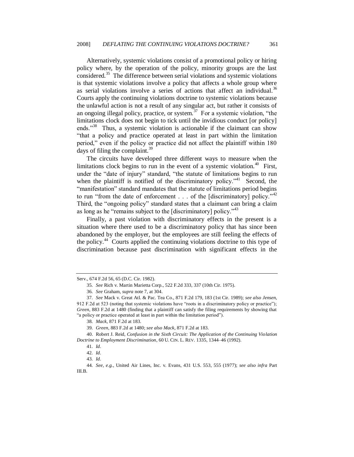Alternatively, systemic violations consist of a promotional policy or hiring policy where, by the operation of the policy, minority groups are the last considered.<sup>35</sup> The difference between serial violations and systemic violations is that systemic violations involve a policy that affects a whole group where as serial violations involve a series of actions that affect an individual.<sup>36</sup> Courts apply the continuing violations doctrine to systemic violations because the unlawful action is not a result of any singular act, but rather it consists of an ongoing illegal policy, practice, or system.<sup>37</sup> For a systemic violation, "the limitations clock does not begin to tick until the invidious conduct [or policy] ends."<sup>38</sup> Thus, a systemic violation is actionable if the claimant can show ―that a policy and practice operated at least in part within the limitation period," even if the policy or practice did not affect the plaintiff within 180 days of filing the complaint.<sup>39</sup>

The circuits have developed three different ways to measure when the limitations clock begins to run in the event of a systemic violation.<sup>40</sup> First, under the "date of injury" standard, "the statute of limitations begins to run when the plaintiff is notified of the discriminatory policy.<sup> $241$ </sup> Second, the "manifestation" standard mandates that the statute of limitations period begins to run "from the date of enforcement . . . of the [discriminatory] policy."<sup>42</sup> Third, the "ongoing policy" standard states that a claimant can bring a claim as long as he "remains subject to the [discriminatory] policy. $143$ 

Finally, a past violation with discriminatory effects in the present is a situation where there used to be a discriminatory policy that has since been abandoned by the employer, but the employees are still feeling the effects of the policy.<sup>44</sup> Courts applied the continuing violations doctrine to this type of discrimination because past discrimination with significant effects in the

Serv., 674 F.2d 56, 65 (D.C. Cir. 1982).

<sup>35</sup>*. See* Rich v. Martin Marietta Corp., 522 F.2d 333, 337 (10th Cir. 1975).

<sup>36</sup>*. See* Graham, *supra* note 7, at 304.

<sup>37</sup>*. See* Mack v. Great Atl. & Pac. Tea Co., 871 F.2d 179, 183 (1st Cir. 1989); *see also Jensen*, 912 F.2d at 523 (noting that systemic violations have "roots in a discriminatory policy or practice"); *Green*, 883 F.2d at 1480 (finding that a plaintiff can satisfy the filing requirements by showing that "a policy or practice operated at least in part within the limitation period").

<sup>38</sup>*. Mack*, 871 F.2d at 183.

<sup>39</sup>*. Green*, 883 F.2d at 1480; *see also Mack*, 871 F.2d at 183.

<sup>40.</sup> Robert J. Reid, *Confusion in the Sixth Circuit: The Application of the Continuing Violation Doctrine to Employment Discrimination*, 60 U. CIN. L. REV. 1335, 1344–46 (1992).

<sup>41</sup>*. Id.*

<sup>42</sup>*. Id.*

<sup>43</sup>*. Id.*

<sup>44</sup>*. See, e.g.*, United Air Lines, Inc. v. Evans, 431 U.S. 553, 555 (1977); *see also infra* Part III.B.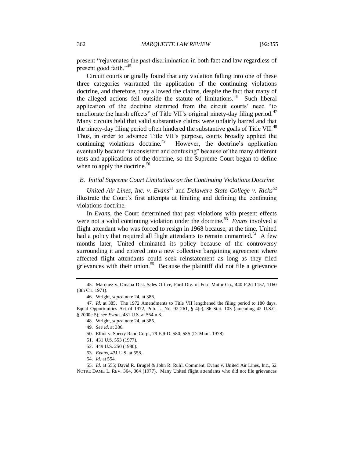present "rejuvenates the past discrimination in both fact and law regardless of present good faith. $^{345}$ 

Circuit courts originally found that any violation falling into one of these three categories warranted the application of the continuing violations doctrine, and therefore, they allowed the claims, despite the fact that many of the alleged actions fell outside the statute of limitations.<sup>46</sup> Such liberal application of the doctrine stemmed from the circuit courts' need "to ameliorate the harsh effects" of Title VII's original ninety-day filing period.<sup>47</sup> Many circuits held that valid substantive claims were unfairly barred and that the ninety-day filing period often hindered the substantive goals of Title VII.<sup>48</sup> Thus, in order to advance Title VII's purpose, courts broadly applied the continuing violations doctrine.<sup>49</sup> However, the doctrine's application eventually became "inconsistent and confusing" because of the many different tests and applications of the doctrine, so the Supreme Court began to define when to apply the doctrine. $50$ 

#### *B. Initial Supreme Court Limitations on the Continuing Violations Doctrine*

*United Air Lines, Inc. v. Evans*<sup>51</sup> and *Delaware State College v. Ricks*<sup>52</sup> illustrate the Court's first attempts at limiting and defining the continuing violations doctrine.

In *Evans*, the Court determined that past violations with present effects were not a valid continuing violation under the doctrine.<sup>53</sup> Evans involved a flight attendant who was forced to resign in 1968 because, at the time, United had a policy that required all flight attendants to remain unmarried.<sup>54</sup> A few months later, United eliminated its policy because of the controversy surrounding it and entered into a new collective bargaining agreement where affected flight attendants could seek reinstatement as long as they filed grievances with their union.<sup>55</sup> Because the plaintiff did not file a grievance

<sup>45.</sup> Marquez v. Omaha Dist. Sales Office, Ford Div. of Ford Motor Co., 440 F.2d 1157, 1160 (8th Cir. 1971).

<sup>46.</sup> Wright, *supra* note 24, at 386.

<sup>47</sup>*. Id.* at 385. The 1972 Amendments to Title VII lengthened the filing period to 180 days. Equal Opportunities Act of 1972, Pub. L. No. 92-261, § 4(e), 86 Stat. 103 (amending 42 U.S.C. § 2000e-5); *see Evans*, 431 U.S. at 554 n.3.

<sup>48.</sup> Wright, *supra* note 24, at 385.

<sup>49</sup>*. See id*. at 386.

<sup>50.</sup> Elliot v. Sperry Rand Corp., 79 F.R.D. 580, 585 (D. Minn. 1978).

<sup>51.</sup> 431 U.S. 553 (1977).

<sup>52.</sup> 449 U.S. 250 (1980).

<sup>53</sup>*. Evans*, 431 U.S. at 558.

<sup>54</sup>*. Id.* at 554.

<sup>55</sup>*. Id.* at 555; David R. Brugel & John R. Ruhl, Comment, Evans v. United Air Lines, Inc., 52 NOTRE DAME L. REV. 364, 364 (1977). Many United flight attendants who did not file grievances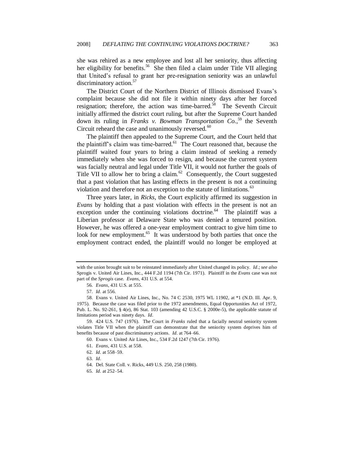she was rehired as a new employee and lost all her seniority, thus affecting her eligibility for benefits.<sup>56</sup> She then filed a claim under Title VII alleging that United's refusal to grant her pre-resignation seniority was an unlawful discriminatory action.<sup>57</sup>

The District Court of the Northern District of Illinois dismissed Evans's complaint because she did not file it within ninety days after her forced resignation; therefore, the action was time-barred.<sup>58</sup> The Seventh Circuit initially affirmed the district court ruling, but after the Supreme Court handed down its ruling in *Franks v. Bowman Transportation Co.*, <sup>59</sup> the Seventh Circuit reheard the case and unanimously reversed.<sup>60</sup>

The plaintiff then appealed to the Supreme Court, and the Court held that the plaintiff's claim was time-barred. $61$  The Court reasoned that, because the plaintiff waited four years to bring a claim instead of seeking a remedy immediately when she was forced to resign, and because the current system was facially neutral and legal under Title VII, it would not further the goals of Title VII to allow her to bring a claim. $^{62}$  Consequently, the Court suggested that a past violation that has lasting effects in the present is not a continuing violation and therefore not an exception to the statute of limitations.<sup>63</sup>

Three years later, in *Ricks*, the Court explicitly affirmed its suggestion in *Evans* by holding that a past violation with effects in the present is not an exception under the continuing violations doctrine.<sup>64</sup> The plaintiff was a Liberian professor at Delaware State who was denied a tenured position. However, he was offered a one-year employment contract to give him time to look for new employment.<sup>65</sup> It was understood by both parties that once the employment contract ended, the plaintiff would no longer be employed at

with the union brought suit to be reinstated immediately after United changed its policy. *Id*.; *see also* Sprogis v. United Air Lines, Inc., 444 F.2d 1194 (7th Cir. 1971). Plaintiff in the *Evans* case was not part of the *Sprogis* case. *Evans*, 431 U.S. at 554.

<sup>56</sup>*. Evans*, 431 U.S. at 555.

<sup>57</sup>*. Id.* at 556.

<sup>58.</sup> Evans v. United Air Lines, Inc., No. 74 C 2530, 1975 WL 11902, at \*1 (N.D. Ill. Apr. 9, 1975). Because the case was filed prior to the 1972 amendments, Equal Opportunities Act of 1972, Pub. L. No. 92-261, § 4(e), 86 Stat. 103 (amending 42 U.S.C. § 2000e-5), the applicable statute of limitations period was ninety days. *Id.*

<sup>59.</sup> 424 U.S. 747 (1976). The Court in *Franks* ruled that a facially neutral seniority system violates Title VII when the plaintiff can demonstrate that the seniority system deprives him of benefits because of past discriminatory actions. *Id.* at 764–66.

<sup>60.</sup> Evans v. United Air Lines, Inc., 534 F.2d 1247 (7th Cir. 1976).

<sup>61</sup>*. Evans*, 431 U.S. at 558.

<sup>62</sup>*. Id.* at 558–59.

<sup>63</sup>*. Id.*

<sup>64.</sup> Del. State Coll. v. Ricks, 449 U.S. 250, 258 (1980).

<sup>65</sup>*. Id.* at 252–54.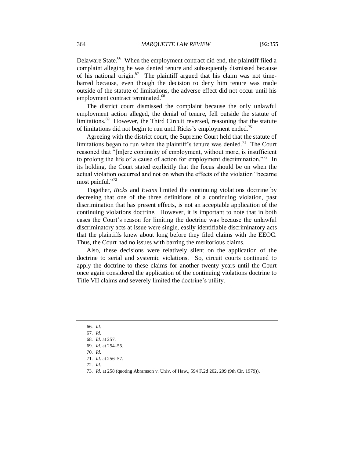Delaware State.<sup>66</sup> When the employment contract did end, the plaintiff filed a complaint alleging he was denied tenure and subsequently dismissed because of his national origin. $^{67}$  The plaintiff argued that his claim was not timebarred because, even though the decision to deny him tenure was made outside of the statute of limitations, the adverse effect did not occur until his employment contract terminated.<sup>68</sup>

The district court dismissed the complaint because the only unlawful employment action alleged, the denial of tenure, fell outside the statute of limitations.<sup>69</sup> However, the Third Circuit reversed, reasoning that the statute of limitations did not begin to run until Ricks's employment ended.<sup>70</sup>

Agreeing with the district court, the Supreme Court held that the statute of limitations began to run when the plaintiff's tenure was denied.<sup>71</sup> The Court reasoned that "[m]ere continuity of employment, without more, is insufficient to prolong the life of a cause of action for employment discrimination.<sup>772</sup> In its holding, the Court stated explicitly that the focus should be on when the actual violation occurred and not on when the effects of the violation "became most painful." $73$ 

Together, *Ricks* and *Evans* limited the continuing violations doctrine by decreeing that one of the three definitions of a continuing violation, past discrimination that has present effects, is not an acceptable application of the continuing violations doctrine. However, it is important to note that in both cases the Court's reason for limiting the doctrine was because the unlawful discriminatory acts at issue were single, easily identifiable discriminatory acts that the plaintiffs knew about long before they filed claims with the EEOC. Thus, the Court had no issues with barring the meritorious claims.

Also, these decisions were relatively silent on the application of the doctrine to serial and systemic violations. So, circuit courts continued to apply the doctrine to these claims for another twenty years until the Court once again considered the application of the continuing violations doctrine to Title VII claims and severely limited the doctrine's utility.

<sup>66</sup>*. Id.*

<sup>67</sup>*. Id.*

<sup>68</sup>*. Id.* at 257.

<sup>69</sup>*. Id.* at 254–55.

<sup>70</sup>*. Id.*

<sup>71</sup>*. Id.* at 256–57.

<sup>72</sup>*. Id*.

<sup>73</sup>*. Id.* at 258 (quoting Abramson v. Univ. of Haw., 594 F.2d 202, 209 (9th Cir. 1979)).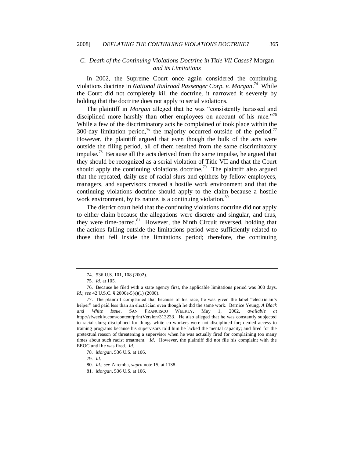#### *C. Death of the Continuing Violations Doctrine in Title VII Cases?* Morgan *and its Limitations*

In 2002, the Supreme Court once again considered the continuing violations doctrine in *National Railroad Passenger Corp. v. Morgan*. 74 While the Court did not completely kill the doctrine, it narrowed it severely by holding that the doctrine does not apply to serial violations.

The plaintiff in *Morgan* alleged that he was "consistently harassed and disciplined more harshly than other employees on account of his race.<sup>775</sup> While a few of the discriminatory acts he complained of took place within the 300-day limitation period,<sup>76</sup> the majority occurred outside of the period.<sup>77</sup> However, the plaintiff argued that even though the bulk of the acts were outside the filing period, all of them resulted from the same discriminatory impulse.<sup>78</sup> Because all the acts derived from the same impulse, he argued that they should be recognized as a serial violation of Title VII and that the Court should apply the continuing violations doctrine.<sup>79</sup> The plaintiff also argued that the repeated, daily use of racial slurs and epithets by fellow employees, managers, and supervisors created a hostile work environment and that the continuing violations doctrine should apply to the claim because a hostile work environment, by its nature, is a continuing violation. $\frac{80}{100}$ 

The district court held that the continuing violations doctrine did not apply to either claim because the allegations were discrete and singular, and thus, they were time-barred.<sup>81</sup> However, the Ninth Circuit reversed, holding that the actions falling outside the limitations period were sufficiently related to those that fell inside the limitations period; therefore, the continuing

<sup>74.</sup> 536 U.S. 101, 108 (2002).

<sup>75</sup>*. Id.* at 105.

<sup>76.</sup> Because he filed with a state agency first, the applicable limitations period was 300 days. *Id.*; *see* 42 U.S.C. § 2000e-5(e)(1) (2000).

<sup>77.</sup> The plaintiff complained that because of his race, he was given the label "electrician's helper" and paid less than an electrician even though he did the same work. Bernice Yeung, *A Black and White Issue*, SAN FRANCISCO WEEKLY, May 1, 2002, *available at*  http://sfweekly.com/content/printVersion/313233. He also alleged that he was constantly subjected to racial slurs; disciplined for things white co-workers were not disciplined for; denied access to training programs because his supervisors told him he lacked the mental capacity; and fired for the pretextual reason of threatening a supervisor when he was actually fired for complaining too many times about such racist treatment. *Id*. However, the plaintiff did not file his complaint with the EEOC until he was fired. *Id.*

<sup>78</sup>*. Morgan*, 536 U.S. at 106.

<sup>79</sup>*. Id.*

<sup>80</sup>*. Id.*; *see* Zaremba, *supra* note 15, at 1138.

<sup>81</sup>*. Morgan*, 536 U.S. at 106.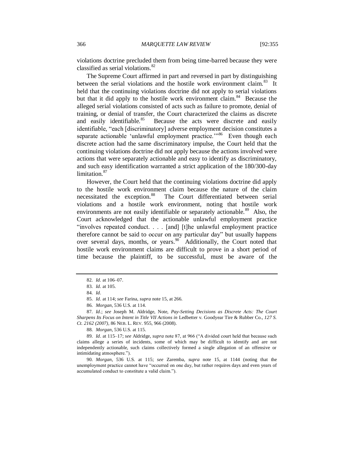violations doctrine precluded them from being time-barred because they were classified as serial violations. $82$ 

The Supreme Court affirmed in part and reversed in part by distinguishing between the serial violations and the hostile work environment claim.<sup>83</sup> It held that the continuing violations doctrine did not apply to serial violations but that it did apply to the hostile work environment claim.<sup>84</sup> Because the alleged serial violations consisted of acts such as failure to promote, denial of training, or denial of transfer, the Court characterized the claims as discrete and easily identifiable.<sup>85</sup> Because the acts were discrete and easily identifiable, "each [discriminatory] adverse employment decision constitutes a separate actionable 'unlawful employment practice."<sup>86</sup> Even though each discrete action had the same discriminatory impulse, the Court held that the continuing violations doctrine did not apply because the actions involved were actions that were separately actionable and easy to identify as discriminatory, and such easy identification warranted a strict application of the 180/300-day limitation.<sup>87</sup>

However, the Court held that the continuing violations doctrine did apply to the hostile work environment claim because the nature of the claim necessitated the exception.<sup>88</sup> The Court differentiated between serial violations and a hostile work environment, noting that hostile work environments are not easily identifiable or separately actionable.<sup>89</sup> Also, the Court acknowledged that the actionable unlawful employment practice "involves repeated conduct. . . . [and] [t]he unlawful employment practice therefore cannot be said to occur on any particular day" but usually happens over several days, months, or years.<sup>90</sup> Additionally, the Court noted that hostile work environment claims are difficult to prove in a short period of time because the plaintiff, to be successful, must be aware of the

87*. Id.*; *see* Joseph M. Aldridge, Note, *Pay-Setting Decisions as Discrete Acts: The Court Sharpens Its Focus on Intent in Title VII Actions in* Ledbetter v. Goodyear Tire & Rubber Co.*, 127 S. Ct. 2162 (2007)*, 86 NEB. L. REV. 955, 966 (2008).

90*. Morgan*, 536 U.S. at 115; *see* Zaremba, *supra* note 15, at 1144 (noting that the unemployment practice cannot have "occurred on one day, but rather requires days and even years of accumulated conduct to constitute a valid claim.").

<sup>82</sup>*. Id.* at 106–07.

<sup>83</sup>*. Id.* at 105.

<sup>84</sup>*. Id.*

<sup>85</sup>*. Id.* at 114; *see* Farina, *supra* note 15, at 266.

<sup>86</sup>*. Morgan*, 536 U.S. at 114.

<sup>88</sup>*. Morgan*, 536 U.S. at 115.

<sup>89.</sup> *Id.* at 115–17; see Aldridge, *supra* note 87, at 966 ("A divided court held that because such claims allege a series of incidents, some of which may be difficult to identify and are not independently actionable, such claims collectively formed a single allegation of an offensive or intimidating atmosphere.").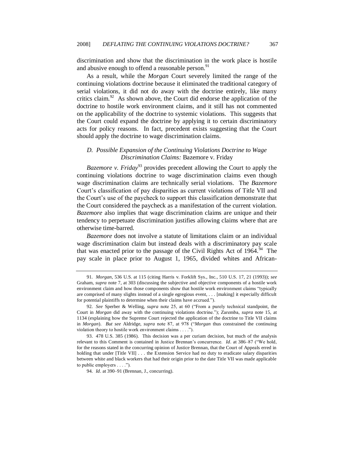discrimination and show that the discrimination in the work place is hostile and abusive enough to offend a reasonable person.<sup>91</sup>

As a result, while the *Morgan* Court severely limited the range of the continuing violations doctrine because it eliminated the traditional category of serial violations, it did not do away with the doctrine entirely, like many critics claim.<sup>92</sup> As shown above, the Court did endorse the application of the doctrine to hostile work environment claims, and it still has not commented on the applicability of the doctrine to systemic violations. This suggests that the Court could expand the doctrine by applying it to certain discriminatory acts for policy reasons. In fact, precedent exists suggesting that the Court should apply the doctrine to wage discrimination claims.

# *D. Possible Expansion of the Continuing Violations Doctrine to Wage Discrimination Claims:* Bazemore v. Friday

*Bazemore v. Friday*<sup>93</sup> provides precedent allowing the Court to apply the continuing violations doctrine to wage discrimination claims even though wage discrimination claims are technically serial violations. The *Bazemore* Court's classification of pay disparities as current violations of Title VII and the Court's use of the paycheck to support this classification demonstrate that the Court considered the paycheck as a manifestation of the current violation. *Bazemore* also implies that wage discrimination claims are unique and their tendency to perpetuate discrimination justifies allowing claims where that are otherwise time-barred.

*Bazemore* does not involve a statute of limitations claim or an individual wage discrimination claim but instead deals with a discriminatory pay scale that was enacted prior to the passage of the Civil Rights Act of  $1964$ .<sup>94</sup> The pay scale in place prior to August 1, 1965, divided whites and African-

<sup>91</sup>*. Morgan*, 536 U.S. at 115 (citing Harris v. Forklift Sys., Inc., 510 U.S. 17, 21 (1993)); *see* Graham, *supra* note 7, at 303 (discussing the subjective and objective components of a hostile work environment claim and how those components show that hostile work environment claims "typically are comprised of many slights instead of a single egregious event, . . . [making] it especially difficult for potential plaintiffs to determine when their claims have accrued.").

<sup>92.</sup> *See Sperber & Welling, <i>supra* note 25, at 60 ("From a purely technical standpoint, the Court in *Morgan* did away with the continuing violations doctrine."); Zaremba, *supra* note 15, at 1134 (explaining how the Supreme Court rejected the application of the doctrine to Title VII claims in *Morgan*). *But see* Aldridge, *supra* note 87, at 978 ("*Morgan* thus constrained the continuing violation theory to hostile work environment claims . . . .").

<sup>93.</sup> 478 U.S. 385 (1986). This decision was a per curiam decision, but much of the analysis relevant to this Comment is contained in Justice Brennan's concurrence. *Id.* at 386–87 ("We hold, for the reasons stated in the concurring opinion of Justice Brennan, that the Court of Appeals erred in holding that under [Title VII] . . . the Extension Service had no duty to eradicate salary disparities between white and black workers that had their origin prior to the date Title VII was made applicable to public employers  $\dots$ .").

<sup>94</sup>*. Id*. at 390–91 (Brennan, J., concurring).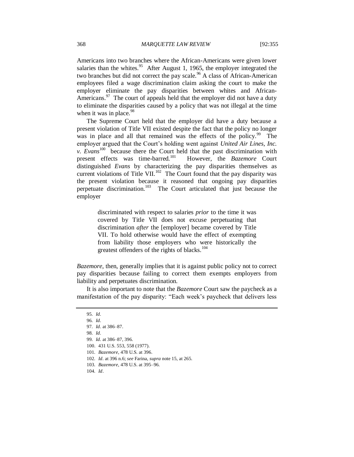Americans into two branches where the African-Americans were given lower salaries than the whites.<sup>95</sup> After August 1, 1965, the employer integrated the two branches but did not correct the pay scale.<sup>96</sup> A class of African-American employees filed a wage discrimination claim asking the court to make the employer eliminate the pay disparities between whites and African-Americans. $97$  The court of appeals held that the employer did not have a duty to eliminate the disparities caused by a policy that was not illegal at the time when it was in place.<sup>98</sup>

The Supreme Court held that the employer did have a duty because a present violation of Title VII existed despite the fact that the policy no longer was in place and all that remained was the effects of the policy.<sup>99</sup> The employer argued that the Court's holding went against *United Air Lines, Inc. v. Evans*<sup>100</sup> because there the Court held that the past discrimination with present effects was time-barred.<sup>101</sup> However, the *Bazemore* Court distinguished *Evans* by characterizing the pay disparities themselves as current violations of Title VII.<sup>102</sup> The Court found that the pay disparity was the present violation because it reasoned that ongoing pay disparities perpetuate discrimination.<sup>103</sup> The Court articulated that just because the employer

> discriminated with respect to salaries *prior* to the time it was covered by Title VII does not excuse perpetuating that discrimination *after* the [employer] became covered by Title VII. To hold otherwise would have the effect of exempting from liability those employers who were historically the greatest offenders of the rights of blacks.<sup>104</sup>

*Bazemore*, then, generally implies that it is against public policy not to correct pay disparities because failing to correct them exempts employers from liability and perpetuates discrimination.

It is also important to note that the *Bazemore* Court saw the paycheck as a manifestation of the pay disparity: "Each week's paycheck that delivers less

<sup>95</sup>*. Id.*

<sup>96</sup>*. Id.*

<sup>97</sup>*. Id*. at 386–87.

<sup>98</sup>*. Id.*

<sup>99</sup>*. Id.* at 386–87, 396.

<sup>100.</sup> 431 U.S. 553, 558 (1977).

<sup>101</sup>*. Bazemore*, 478 U.S*.* at 396.

<sup>102</sup>*. Id.* at 396 n.6; *see* Farina, *supra* note 15, at 265.

<sup>103</sup>*. Bazemore*, 478 U.S. at 395–96.

<sup>104</sup>*. Id*.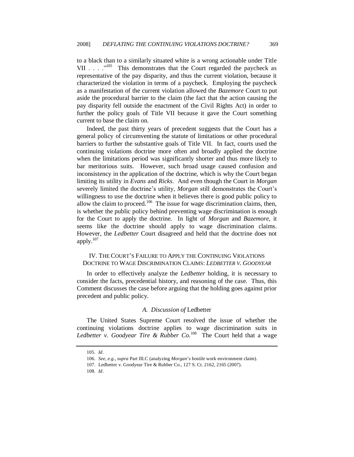to a black than to a similarly situated white is a wrong actionable under Title VII . . .  $\cdot$ <sup>105</sup> This demonstrates that the Court regarded the paycheck as representative of the pay disparity, and thus the current violation, because it characterized the violation in terms of a paycheck. Employing the paycheck as a manifestation of the current violation allowed the *Bazemore* Court to put aside the procedural barrier to the claim (the fact that the action causing the pay disparity fell outside the enactment of the Civil Rights Act) in order to further the policy goals of Title VII because it gave the Court something current to base the claim on.

Indeed, the past thirty years of precedent suggests that the Court has a general policy of circumventing the statute of limitations or other procedural barriers to further the substantive goals of Title VII. In fact, courts used the continuing violations doctrine more often and broadly applied the doctrine when the limitations period was significantly shorter and thus more likely to bar meritorious suits. However, such broad usage caused confusion and inconsistency in the application of the doctrine, which is why the Court began limiting its utility in *Evans* and *Ricks*. And even though the Court in *Morgan* severely limited the doctrine's utility, *Morgan* still demonstrates the Court's willingness to use the doctrine when it believes there is good public policy to allow the claim to proceed.<sup>106</sup> The issue for wage discrimination claims, then, is whether the public policy behind preventing wage discrimination is enough for the Court to apply the doctrine. In light of *Morgan* and *Bazemore*, it seems like the doctrine should apply to wage discrimination claims. However, the *Ledbetter* Court disagreed and held that the doctrine does not apply.<sup>107</sup>

# IV. THE COURT'S FAILURE TO APPLY THE CONTINUING VIOLATIONS DOCTRINE TO WAGE DISCRIMINATION CLAIMS: *LEDBETTER V. GOODYEAR*

In order to effectively analyze the *Ledbetter* holding, it is necessary to consider the facts, precedential history, and reasoning of the case. Thus, this Comment discusses the case before arguing that the holding goes against prior precedent and public policy.

#### *A. Discussion of* Ledbetter

The United States Supreme Court resolved the issue of whether the continuing violations doctrine applies to wage discrimination suits in Ledbetter v. Goodyear Tire & Rubber Co.<sup>108</sup> The Court held that a wage

<sup>105</sup>*. Id*.

<sup>106</sup>*. See, e.g.*, *supra* Part III.C (analyzing *Morgan*'s hostile work environment claim).

<sup>107.</sup> Ledbetter v. Goodyear Tire & Rubber Co., 127 S. Ct. 2162, 2165 (2007).

<sup>108</sup>*. Id*.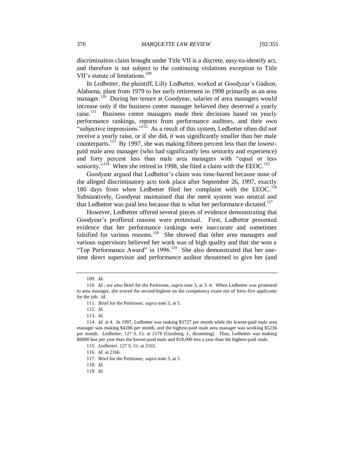discrimination claim brought under Title VII is a discrete, easy-to-identify act, and therefore is not subject to the continuing violations exception to Title VII's statute of limitations.<sup>109</sup>

In *Ledbetter*, the plaintiff, Lilly Ledbetter, worked at Goodyear's Gadsen, Alabama, plant from 1979 to her early retirement in 1998 primarily as an area manager.<sup>110</sup> During her tenure at Goodyear, salaries of area managers would increase only if the business center manager believed they deserved a yearly raise.<sup>111</sup> Business center managers made their decisions based on yearly performance rankings, reports from performance auditors, and their own "subjective impressions."<sup>112</sup> As a result of this system, Ledbetter often did not receive a yearly raise, or if she did, it was significantly smaller than her male counterparts.<sup>113</sup> By 1997, she was making fifteen percent less than the lowestpaid male area manager (who had significantly less seniority and experience) and forty percent less than male area managers with "equal or less seniority."<sup>114</sup> When she retired in 1998, she filed a claim with the EEOC.<sup>115</sup>

Goodyear argued that Ledbetter's claim was time-barred because none of the alleged discriminatory acts took place after September 26, 1997, exactly 180 days from when Ledbetter filed her complaint with the EEOC.<sup>116</sup> Substantively, Goodyear maintained that the merit system was neutral and that Ledbetter was paid less because that is what her performance dictated.<sup>117</sup>

However, Ledbetter offered several pieces of evidence demonstrating that Goodyear's proffered reasons were pretextual. First, Ledbetter presented evidence that her performance rankings were inaccurate and sometimes falsified for various reasons.<sup>118</sup> She showed that other area managers and various supervisors believed her work was of high quality and that she won a "Top Performance Award" in 1996.<sup>119</sup> She also demonstrated that her onetime direct supervisor and performance auditor threatened to give her (and

112*. Id.*

113*. Id.*

119*. Id.*

<sup>109</sup>*. Id*.

<sup>110</sup>*. Id.*; *see also* Brief for the Petitioner, *supra* note 3, at 3–4. When Ledbetter was promoted to area manager, she scored the second-highest on the competency exam out of forty-five applicants for the job. *Id*.

<sup>111.</sup> Brief for the Petitioner, *supra* note 3, at 5.

<sup>114</sup>*. Id.* at 4. In 1997, Ledbetter was making \$3727 per month while the lowest-paid male area manager was making \$4286 per month, and the highest-paid male area manager was working \$5236 per month. *Ledbetter*, 127 S. Ct. at 2178 (Ginsberg, J., dissenting). Thus, Ledbetter was making \$6000 less per year than the lowest-paid male and \$18,000 less a year than the highest-paid male.

<sup>115</sup>*. Ledbetter*, 127 S. Ct. at 2165.

<sup>116</sup>*. Id.* at 2166.

<sup>117.</sup> Brief for the Petitioner, *supra* note 3, at 5.

<sup>118</sup>*. Id.*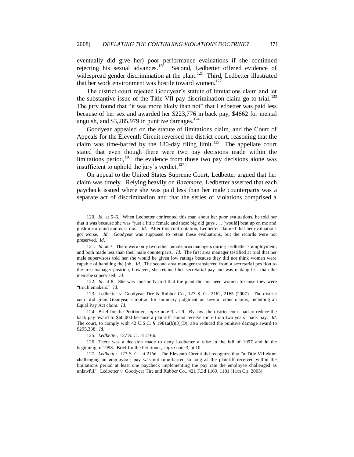eventually did give her) poor performance evaluations if she continued rejecting his sexual advances.<sup>120</sup> Second, Ledbetter offered evidence of widespread gender discrimination at the plant.<sup>121</sup> Third, Ledbetter illustrated that her work environment was hostile toward women.<sup>122</sup>

The district court rejected Goodyear's statute of limitations claim and let the substantive issue of the Title VII pay discrimination claim go to trial.<sup>123</sup> The jury found that "it was more likely than not" that Ledbetter was paid less because of her sex and awarded her \$223,776 in back pay, \$4662 for mental anguish, and  $$3,285,979$  in punitive damages.<sup>124</sup>

Goodyear appealed on the statute of limitations claim, and the Court of Appeals for the Eleventh Circuit reversed the district court, reasoning that the claim was time-barred by the 180-day filing limit.<sup>125</sup> The appellate court stated that even though there were two pay decisions made within the limitations period,  $126$  the evidence from those two pay decisions alone was insufficient to uphold the jury's verdict.<sup>127</sup>

On appeal to the United States Supreme Court, Ledbetter argued that her claim was timely. Relying heavily on *Bazemore*, Ledbetter asserted that each paycheck issued where she was paid less than her male counterparts was a separate act of discrimination and that the series of violations comprised a

122*. Id.* at 8. She was constantly told that the plant did not need women because they were "troublemakers." *Id.* 

123. Ledbetter v. Goodyear Tire & Rubber Co., 127 S. Ct. 2162, 2165 (2007). The district court did grant Goodyear's motion for summary judgment on several other claims, including an Equal Pay Act claim. *Id.*

124. Brief for the Petitioner, *supra* note 3, at 9. By law, the district court had to reduce the back pay award to \$60,000 because a plaintiff cannot receive more than two years' back pay. *Id.*  The court, to comply with 42 U.S.C. § 1981a(b)(3)(D), also reduced the punitive damage award to \$295,338. *Id.*

125*. Ledbetter*, 127 S. Ct. at 2166.

126. There was a decision made to deny Ledbetter a raise in the fall of 1997 and in the beginning of 1998. Brief for the Petitioner, *supra* note 3, at 10.

127. *Ledbetter*, 127 S. Ct. at 2166. The Eleventh Circuit did recognize that "a Title VII claim challenging an employee's pay was not time-barred so long as the plaintiff received within the limitations period at least one paycheck implementing the pay rate the employee challenged as unlawful." Ledbetter v. Goodyear Tire and Rubber Co., 421 F.3d 1169, 1181 (11th Cir. 2005).

<sup>120</sup>*. Id.* at 5–6. When Ledbetter confronted this man about her poor evaluations, he told her that it was because she was "just a little female and these big old guys . . . [would] beat up on me and push me around and cuss me." *Id.* After this confrontation, Ledbetter claimed that her evaluations got worse. *Id.* Goodyear was supposed to retain these evaluations, but the records were not preserved. *Id.*

<sup>121</sup>*. Id*. at 7. There were only two other female area managers during Ledbetter's employment, and both made less than their male counterparts. *Id.* The first area manager testified at trial that her male supervisors told her she would be given low ratings because they did not think women were capable of handling the job. *Id.* The second area manager transferred from a secretarial position to the area manager position; however, she retained her secretarial pay and was making less than the men she supervised. *Id.*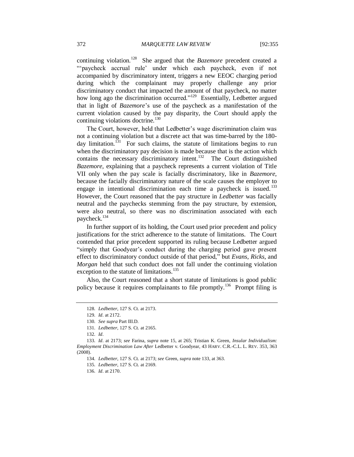continuing violation.<sup>128</sup> She argued that the *Bazemore* precedent created a "paycheck accrual rule' under which each paycheck, even if not accompanied by discriminatory intent, triggers a new EEOC charging period during which the complainant may properly challenge any prior discriminatory conduct that impacted the amount of that paycheck, no matter how long ago the discrimination occurred."<sup>129</sup> Essentially, Ledbetter argued that in light of *Bazemore*'s use of the paycheck as a manifestation of the current violation caused by the pay disparity, the Court should apply the continuing violations doctrine.<sup>130</sup>

The Court, however, held that Ledbetter's wage discrimination claim was not a continuing violation but a discrete act that was time-barred by the 180 day limitation.<sup>131</sup> For such claims, the statute of limitations begins to run when the discriminatory pay decision is made because that is the action which contains the necessary discriminatory intent.<sup>132</sup> The Court distinguished *Bazemore,* explaining that a paycheck represents a current violation of Title VII only when the pay scale is facially discriminatory, like in *Bazemore*, because the facially discriminatory nature of the scale causes the employer to engage in intentional discrimination each time a paycheck is issued.<sup>133</sup> However, the Court reasoned that the pay structure in *Ledbetter* was facially neutral and the paychecks stemming from the pay structure, by extension, were also neutral, so there was no discrimination associated with each paycheck.<sup>134</sup>

In further support of its holding, the Court used prior precedent and policy justifications for the strict adherence to the statute of limitations. The Court contended that prior precedent supported its ruling because Ledbetter argued ―simply that Goodyear's conduct during the charging period gave present effect to discriminatory conduct outside of that period," but *Evans*, *Ricks*, and *Morgan* held that such conduct does not fall under the continuing violation exception to the statute of limitations.<sup>135</sup>

Also, the Court reasoned that a short statute of limitations is good public policy because it requires complainants to file promptly.<sup>136</sup> Prompt filing is

<sup>128</sup>*. Ledbetter*, 127 S. Ct. at 2173.

<sup>129</sup>*. Id.* at 2172.

<sup>130</sup>*. See supra* Part III.D.

<sup>131</sup>*. Ledbetter*, 127 S. Ct*.* at 2165.

<sup>132</sup>*. Id.*

<sup>133</sup>*. Id.* at 2173; *see* Farina, *supra* note 15, at 265; Tristian K. Green, *Insular Individualism: Employment Discrimination Law After* Ledbetter v. Goodyear, 43 HARV. C.R.-C.L. L. REV. 353, 363 (2008).

<sup>134</sup>*. Ledbetter*, 127 S. Ct*.* at 2173; *see* Green, *supra* note 133, at 363.

<sup>135</sup>*. Ledbetter*, 127 S. Ct*.* at 2169.

<sup>136</sup>*. Id.* at 2170.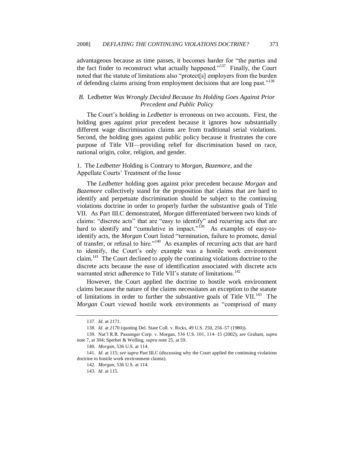advantageous because as time passes, it becomes harder for "the parties and the fact finder to reconstruct what actually happened.<sup> $137$ </sup> Finally, the Court noted that the statute of limitations also "protect[s] employers from the burden of defending claims arising from employment decisions that are long past."<sup>138</sup>

# *B.* Ledbetter *Was Wrongly Decided Because Its Holding Goes Against Prior Precedent and Public Policy*

The Court's holding in *Ledbetter* is erroneous on two accounts. First, the holding goes against prior precedent because it ignores how substantially different wage discrimination claims are from traditional serial violations. Second, the holding goes against public policy because it frustrates the core purpose of Title VII—providing relief for discrimination based on race, national origin, color, religion, and gender.

# 1. The *Ledbetter* Holding is Contrary to *Morgan*, *Bazemore*, and the Appellate Courts' Treatment of the Issue

The *Ledbetter* holding goes against prior precedent because *Morgan* and *Bazemore* collectively stand for the proposition that claims that are hard to identify and perpetuate discrimination should be subject to the continuing violations doctrine in order to properly further the substantive goals of Title VII. As Part III.C demonstrated, *Morgan* differentiated between two kinds of claims: "discrete acts" that are "easy to identify" and recurring acts that are hard to identify and "cumulative in impact."<sup>139</sup> As examples of easy-toidentify acts, the *Morgan* Court listed "termination, failure to promote, denial of transfer, or refusal to hire."<sup>140</sup> As examples of recurring acts that are hard to identify, the Court's only example was a hostile work environment claim.<sup>141</sup> The Court declined to apply the continuing violations doctrine to the discrete acts because the ease of identification associated with discrete acts warranted strict adherence to Title VII's statute of limitations.<sup>142</sup>

However, the Court applied the doctrine to hostile work environment claims because the nature of the claims necessitates an exception to the statute of limitations in order to further the substantive goals of Title VII.<sup>143</sup> The *Morgan* Court viewed hostile work environments as "comprised of many

<sup>137</sup>*. Id.* at 2171.

<sup>138</sup>*. Id.* at 2170 (quoting Del. State Coll. v. Ricks, 49 U.S. 250, 256–57 (1980)).

<sup>139.</sup> Nat'l R.R. Passenger Corp. v. Morgan, 536 U.S. 101, 114–15 (2002); *see* Graham, *supra* note 7, at 304; Sperber & Welling, *supra* note 25, at 59.

<sup>140</sup>*. Morgan*, 536 U.S. at 114.

<sup>141</sup>*. Id.* at 115; *see supra* Part III.C (discussing why the Court applied the continuing violations doctrine to hostile work environment claims).

<sup>142</sup>*. Morgan*, 536 U.S. at 114.

<sup>143</sup>*. Id*. at 115.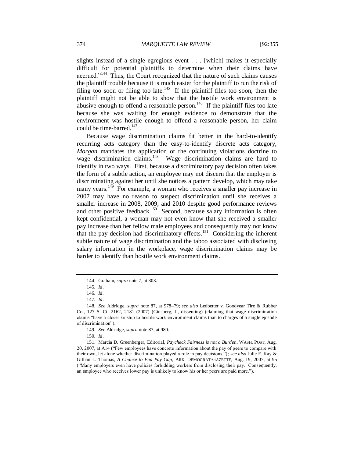slights instead of a single egregious event . . . [which] makes it especially difficult for potential plaintiffs to determine when their claims have accrued."<sup>144</sup> Thus, the Court recognized that the nature of such claims causes the plaintiff trouble because it is much easier for the plaintiff to run the risk of filing too soon or filing too late.<sup>145</sup> If the plaintiff files too soon, then the plaintiff might not be able to show that the hostile work environment is abusive enough to offend a reasonable person.<sup>146</sup> If the plaintiff files too late because she was waiting for enough evidence to demonstrate that the environment was hostile enough to offend a reasonable person, her claim could be time-barred.<sup>147</sup>

Because wage discrimination claims fit better in the hard-to-identify recurring acts category than the easy-to-identify discrete acts category, *Morgan* mandates the application of the continuing violations doctrine to wage discrimination claims.<sup>148</sup> Wage discrimination claims are hard to identify in two ways. First, because a discriminatory pay decision often takes the form of a subtle action, an employee may not discern that the employer is discriminating against her until she notices a pattern develop, which may take many years.<sup>149</sup> For example, a woman who receives a smaller pay increase in 2007 may have no reason to suspect discrimination until she receives a smaller increase in 2008, 2009, and 2010 despite good performance reviews and other positive feedback.<sup>150</sup> Second, because salary information is often kept confidential, a woman may not even know that she received a smaller pay increase than her fellow male employees and consequently may not know that the pay decision had discriminatory effects.<sup>151</sup> Considering the inherent subtle nature of wage discrimination and the taboo associated with disclosing salary information in the workplace, wage discrimination claims may be harder to identify than hostile work environment claims.

150*. Id*.

<sup>144.</sup> Graham, *supra* note 7, at 303.

<sup>145</sup>*. Id*.

<sup>146</sup>*. Id.*

<sup>147</sup>*. Id*.

<sup>148</sup>*. See* Aldridge, *supra* note 87, at 978–79; *see also* Ledbetter v. Goodyear Tire & Rubber Co., 127 S. Ct. 2162, 2181 (2007) (Ginsberg, J., dissenting) (claiming that wage discrimination claims "have a closer kinship to hostile work environment claims than to charges of a single episode of discrimination").

<sup>149</sup>*. See* Aldridge, *supra* note 87, at 980.

<sup>151.</sup> Marcia D. Greenberger, Editorial, *Paycheck Fairness is not a Burden*, WASH. POST, Aug. 20, 2007, at A14 ("Few employees have concrete information about the pay of peers to compare with their own, let alone whether discrimination played a role in pay decisions.‖)*; see also* Julie F. Kay & Gillian L. Thomas, *A Chance to End Pay Gap*, ARK. DEMOCRAT-GAZETTE, Aug. 19, 2007, at 95 (―Many employers even have policies forbidding workers from disclosing their pay. Consequently, an employee who receives lower pay is unlikely to know his or her peers are paid more.").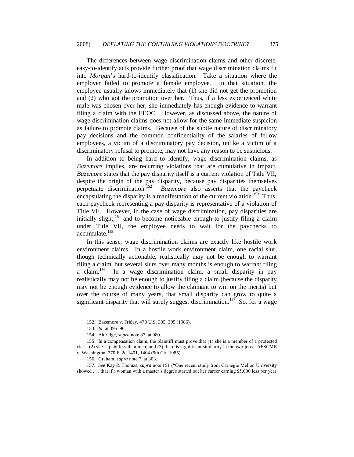The differences between wage discrimination claims and other discrete, easy-to-identify acts provide further proof that wage discrimination claims fit into *Morgan*'s hard-to-identify classification. Take a situation where the employer failed to promote a female employee. In that situation, the employee usually knows immediately that (1) she did not get the promotion and (2) who got the promotion over her. Thus, if a less experienced white male was chosen over her, she immediately has enough evidence to warrant filing a claim with the EEOC. However, as discussed above, the nature of wage discrimination claims does not allow for the same immediate suspicion as failure to promote claims. Because of the subtle nature of discriminatory pay decisions and the common confidentiality of the salaries of fellow employees, a victim of a discriminatory pay decision, unlike a victim of a discriminatory refusal to promote, may not have any reason to be suspicious.

In addition to being hard to identify, wage discrimination claims, as *Bazemore* implies, are recurring violations that are cumulative in impact. *Bazemore* states that the pay disparity itself is a current violation of Title VII, despite the origin of the pay disparity, because pay disparities themselves perpetuate discrimination.<sup>152</sup> *Bazemore* also asserts that the paycheck encapsulating the disparity is a manifestation of the current violation.<sup>153</sup> Thus, each paycheck representing a pay disparity is representative of a violation of Title VII. However, in the case of wage discrimination, pay disparities are initially slight,<sup>154</sup> and to become noticeable enough to justify filing a claim under Title VII, the employee needs to wait for the paychecks to accumulate.<sup>155</sup>

In this sense, wage discrimination claims are exactly like hostile work environment claims. In a hostile work environment claim, one racial slur, though technically actionable, realistically may not be enough to warrant filing a claim, but several slurs over many months is enough to warrant filing a claim. $156$  In a wage discrimination claim, a small disparity in pay realistically may not be enough to justify filing a claim (because the disparity may not be enough evidence to allow the claimant to win on the merits) but over the course of many years, that small disparity can grow to quite a significant disparity that will surely suggest discrimination.<sup>157</sup> So, for a wage

<sup>152.</sup> Bazemore v. Friday, 478 U.S. 385, 395 (1986).

<sup>153</sup>*. Id.* at 395–96.

<sup>154.</sup> Aldridge, *supra* note 87, at 980.

<sup>155.</sup> In a compensation claim, the plaintiff must prove that (1) she is a member of a protected class; (2) she is paid less than men; and (3) there is significant similarity in the two jobs. AFSCME v. Washington, 770 F. 2d 1401, 1404 (9th Cir. 1985).

<sup>156.</sup> Graham, *supra* note 7, at 303.

<sup>157.</sup> See Kay & Thomas, *supra* note 151 ("One recent study from Carnegie Mellon University showed . . . that if a woman with a master's degree started out her career earning \$5,000 less per year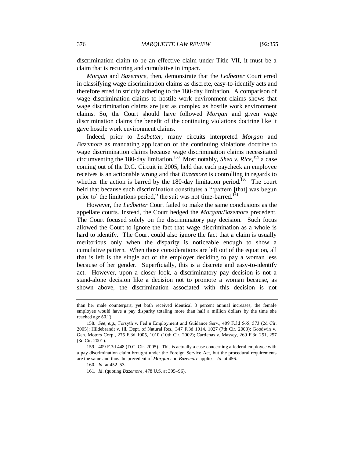discrimination claim to be an effective claim under Title VII, it must be a claim that is recurring and cumulative in impact.

*Morgan* and *Bazemore*, then, demonstrate that the *Ledbetter* Court erred in classifying wage discrimination claims as discrete, easy-to-identify acts and therefore erred in strictly adhering to the 180-day limitation. A comparison of wage discrimination claims to hostile work environment claims shows that wage discrimination claims are just as complex as hostile work environment claims. So, the Court should have followed *Morgan* and given wage discrimination claims the benefit of the continuing violations doctrine like it gave hostile work environment claims.

Indeed, prior to *Ledbetter*, many circuits interpreted *Morgan* and *Bazemore* as mandating application of the continuing violations doctrine to wage discrimination claims because wage discrimination claims necessitated circumventing the 180-day limitation.<sup>158</sup> Most notably, *Shea v. Rice*, <sup>159</sup> a case coming out of the D.C. Circuit in 2005, held that each paycheck an employee receives is an actionable wrong and that *Bazemore* is controlling in regards to whether the action is barred by the 180-day limitation period.<sup>160</sup> The court held that because such discrimination constitutes a "pattern [that] was begun prior to' the limitations period," the suit was not time-barred.<sup>161</sup>

However, the *Ledbetter* Court failed to make the same conclusions as the appellate courts. Instead, the Court hedged the *Morgan/Bazemore* precedent. The Court focused solely on the discriminatory pay decision. Such focus allowed the Court to ignore the fact that wage discrimination as a whole is hard to identify. The Court could also ignore the fact that a claim is usually meritorious only when the disparity is noticeable enough to show a cumulative pattern. When those considerations are left out of the equation, all that is left is the single act of the employer deciding to pay a woman less because of her gender. Superficially, this is a discrete and easy-to-identify act. However, upon a closer look, a discriminatory pay decision is not a stand-alone decision like a decision not to promote a woman because, as shown above, the discrimination associated with this decision is not

than her male counterpart, yet both received identical 3 percent annual increases, the female employee would have a pay disparity totaling more than half a million dollars by the time she reached age 60.").

<sup>158</sup>*. See, e.g.*, Forsyth v. Fed'n Employment and Guidance Serv., 409 F.3d 565, 573 (2d Cir. 2005); Hildebrandt v. Ill. Dept. of Natural Res., 347 F.3d 1014, 1027 (7th Cir. 2003); Goodwin v. Gen. Motors Corp., 275 F.3d 1005, 1010 (10th Cir. 2002); Cardenas v. Massey, 269 F.3d 251, 257 (3d Cir. 2001).

<sup>159.</sup> 409 F.3d 448 (D.C. Cir. 2005). This is actually a case concerning a federal employee with a pay discrimination claim brought under the Foreign Service Act, but the procedural requirements are the same and thus the precedent of *Morgan* and *Bazemore* applies. *Id.* at 456.

<sup>160</sup>*. Id.* at 452–53.

<sup>161</sup>*. Id.* (quoting *Bazemore*, 478 U.S. at 395–96).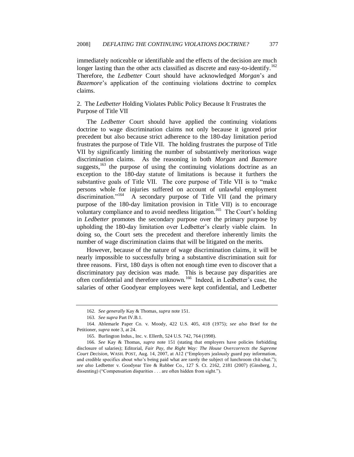immediately noticeable or identifiable and the effects of the decision are much longer lasting than the other acts classified as discrete and easy-to-identify.<sup>162</sup> Therefore, the *Ledbetter* Court should have acknowledged *Morgan*'s and *Bazemore*'s application of the continuing violations doctrine to complex claims.

2. The *Ledbetter* Holding Violates Public Policy Because It Frustrates the Purpose of Title VII

The *Ledbetter* Court should have applied the continuing violations doctrine to wage discrimination claims not only because it ignored prior precedent but also because strict adherence to the 180-day limitation period frustrates the purpose of Title VII. The holding frustrates the purpose of Title VII by significantly limiting the number of substantively meritorious wage discrimination claims. As the reasoning in both *Morgan* and *Bazemore* suggests, $163$  the purpose of using the continuing violations doctrine as an exception to the 180-day statute of limitations is because it furthers the substantive goals of Title VII. The core purpose of Title VII is to "make persons whole for injuries suffered on account of unlawful employment discrimination."<sup>164</sup> A secondary purpose of Title VII (and the primary purpose of the 180-day limitation provision in Title VII) is to encourage voluntary compliance and to avoid needless litigation.<sup>165</sup> The Court's holding in *Ledbetter* promotes the secondary purpose over the primary purpose by upholding the 180-day limitation over Ledbetter's clearly viable claim. In doing so, the Court sets the precedent and therefore inherently limits the number of wage discrimination claims that will be litigated on the merits.

However, because of the nature of wage discrimination claims, it will be nearly impossible to successfully bring a substantive discrimination suit for three reasons. First, 180 days is often not enough time even to discover that a discriminatory pay decision was made. This is because pay disparities are often confidential and therefore unknown.<sup>166</sup> Indeed, in Ledbetter's case, the salaries of other Goodyear employees were kept confidential, and Ledbetter

<sup>162</sup>*. See generally* Kay & Thomas, *supra* note 151.

<sup>163</sup>*. See supra* Part IV.B.1.

<sup>164.</sup> Ablemarle Paper Co. v. Moody, 422 U.S. 405, 418 (1975); *see also* Brief for the Petitioner, *supra* note 3, at 24.

<sup>165.</sup> Burlington Indus., Inc. v. Ellerth, 524 U.S. 742, 764 (1998).

<sup>166</sup>*. See* Kay & Thomas, *supra* note 151 (stating that employers have policies forbidding disclosure of salaries); Editorial, *Fair Pay, the Right Way: The House Overcorrects the Supreme Court Decision*, WASH. POST, Aug. 14, 2007, at A12 ("Employers jealously guard pay information, and credible specifics about who's being paid what are rarely the subject of lunchroom chit-chat."); *see also* Ledbetter v. Goodyear Tire & Rubber Co., 127 S. Ct. 2162, 2181 (2007) (Ginsberg, J., dissenting) ("Compensation disparities . . . are often hidden from sight.").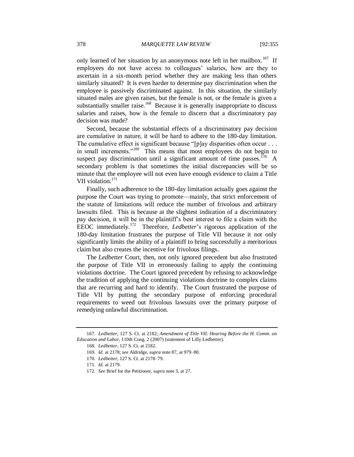only learned of her situation by an anonymous note left in her mailbox.<sup>167</sup> If employees do not have access to colleagues' salaries, how are they to ascertain in a six-month period whether they are making less than others similarly situated? It is even harder to determine pay discrimination when the employee is passively discriminated against. In this situation, the similarly situated males are given raises, but the female is not, or the female is given a substantially smaller raise.<sup>168</sup> Because it is generally inappropriate to discuss salaries and raises, how is the female to discern that a discriminatory pay decision was made?

Second, because the substantial effects of a discriminatory pay decision are cumulative in nature, it will be hard to adhere to the 180-day limitation. The cumulative effect is significant because " $[p]$ ay disparities often occur . . . in small increments."<sup>169</sup> This means that most employees do not begin to suspect pay discrimination until a significant amount of time passes.<sup>170</sup> A secondary problem is that sometimes the initial discrepancies will be so minute that the employee will not even have enough evidence to claim a Title VII violation.<sup>171</sup>

Finally, such adherence to the 180-day limitation actually goes against the purpose the Court was trying to promote—mainly, that strict enforcement of the statute of limitations will reduce the number of frivolous and arbitrary lawsuits filed. This is because at the slightest indication of a discriminatory pay decision, it will be in the plaintiff's best interest to file a claim with the EEOC immediately.<sup>172</sup> Therefore, *Ledbetter*'s rigorous application of the 180-day limitation frustrates the purpose of Title VII because it not only significantly limits the ability of a plaintiff to bring successfully a meritorious claim but also creates the incentive for frivolous filings.

The *Ledbetter* Court, then, not only ignored precedent but also frustrated the purpose of Title VII in erroneously failing to apply the continuing violations doctrine. The Court ignored precedent by refusing to acknowledge the tradition of applying the continuing violations doctrine to complex claims that are recurring and hard to identify. The Court frustrated the purpose of Title VII by putting the secondary purpose of enforcing procedural requirements to weed out frivolous lawsuits over the primary purpose of remedying unlawful discrimination.

<sup>167</sup>*. Ledbetter*, 127 S. Ct. at 2182; *Amendment of Title VII: Hearing Before the H. Comm. on Education and Labor*, 110th Cong. 2 (2007) (statement of Lilly Ledbetter).

<sup>168</sup>*. Ledbetter*, 127 S. Ct. at 2182.

<sup>169</sup>*. Id.* at 2178; *see* Aldridge, *supra* note 87, at 979–80.

<sup>170</sup>*. Ledbetter*, 127 S. Ct. at 2178–79.

<sup>171</sup>*. Id.* at 2179.

<sup>172</sup>*. See* Brief for the Petitioner, *supra* note 3, at 27.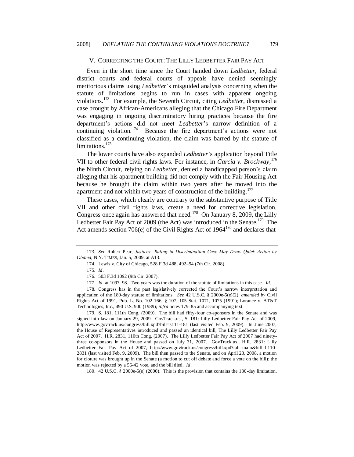#### V. CORRECTING THE COURT: THE LILLY LEDBETTER FAIR PAY ACT

Even in the short time since the Court handed down *Ledbetter*, federal district courts and federal courts of appeals have denied seemingly meritorious claims using *Ledbetter*'s misguided analysis concerning when the statute of limitations begins to run in cases with apparent ongoing violations.<sup>173</sup> For example, the Seventh Circuit, citing *Ledbetter*, dismissed a case brought by African-Americans alleging that the Chicago Fire Department was engaging in ongoing discriminatory hiring practices because the fire department's actions did not meet *Ledbetter*'s narrow definition of a continuing violation.<sup>174</sup> Because the fire department's actions were not classified as a continuing violation, the claim was barred by the statute of limitations.<sup>175</sup>

The lower courts have also expanded *Ledbetter*'s application beyond Title VII to other federal civil rights laws. For instance, in *Garcia v. Brockway*, 176 the Ninth Circuit, relying on *Ledbetter*, denied a handicapped person's claim alleging that his apartment building did not comply with the Fair Housing Act because he brought the claim within two years after he moved into the apartment and not within two years of construction of the building.<sup>177</sup>

These cases, which clearly are contrary to the substantive purpose of Title VII and other civil rights laws, create a need for corrective legislation. Congress once again has answered that need.<sup>178</sup> On January 8, 2009, the Lilly Ledbetter Fair Pay Act of 2009 (the Act) was introduced in the Senate.<sup>179</sup> The Act amends section 706(e) of the Civil Rights Act of  $1964^{180}$  and declares that

179. S. 181, 111th Cong. (2009). The bill had fifty-four co-sponsors in the Senate and was signed into law on January 29, 2009. GovTrack.us., S. 181: Lilly Ledbetter Fair Pay Act of 2009, http://www.govtrack.us/congress/bill.xpd?bill=s111-181 (last visited Feb. 9, 2009). In June 2007, the House of Representatives introduced and passed an identical bill, The Lilly Ledbetter Fair Pay Act of 2007. H.R. 2831, 110th Cong. (2007). The Lilly Ledbetter Fair Pay Act of 2007 had ninetythree co-sponsors in the House and passed on July 31, 2007. GovTrack.us., H.R. 2831: Lilly Ledbetter Fair Pay Act of 2007, http://www.govtrack.us/congress/bill.xpd?tab=main&bill=h110- 2831 (last visited Feb. 9, 2009). The bill then passed to the Senate, and on April 23, 2008, a motion for cloture was brought up in the Senate (a motion to cut off debate and force a vote on the bill); the motion was rejected by a 56-42 vote, and the bill died. *Id*.

180. 42 U.S.C. § 2000e-5(e) (2000). This is the provision that contains the 180-day limitation.

<sup>173</sup>*. See* Robert Pear, *Justices' Ruling in Discrimination Case May Draw Quick Action by Obama,* N.Y. TIMES, Jan. 5, 2009, at A13.

<sup>174</sup>*.* Lewis v. City of Chicago, 528 F.3d 488, 492–94 (7th Cir. 2008).

<sup>175</sup>*. Id*.

<sup>176</sup>*.* 503 F.3d 1092 (9th Cir. 2007).

<sup>177</sup>*. Id.* at 1097–98. Two years was the duration of the statute of limitations in this case. *Id.*

<sup>178</sup>*.* Congress has in the past legislatively corrected the Court's narrow interpretation and application of the 180-day statute of limitations. *See* 42 U.S.C. § 2000e-5(e)(2), *amended by* Civil Rights Act of 1991, Pub. L. No. 102-166, § 107, 105 Stat. 1071, 1075 (1991); Lorance v. AT&T Technologies, Inc., 490 U.S. 900 (1989); *infra* notes 179–85 and accompanying text.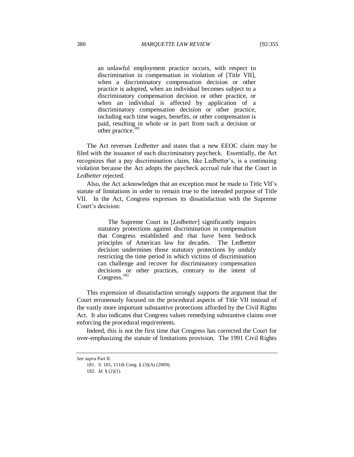an unlawful employment practice occurs, with respect to discrimination in compensation in violation of [Title VII], when a discriminatory compensation decision or other practice is adopted, when an individual becomes subject to a discriminatory compensation decision or other practice, or when an individual is affected by application of a discriminatory compensation decision or other practice, including each time wages, benefits, or other compensation is paid, resulting in whole or in part from such a decision or other practice.<sup>181</sup>

The Act reverses *Ledbetter* and states that a new EEOC claim may be filed with the issuance of each discriminatory paycheck. Essentially, the Act recognizes that a pay discrimination claim, like Ledbetter's, is a continuing violation because the Act adopts the paycheck accrual rule that the Court in *Ledbetter* rejected.

Also, the Act acknowledges that an exception must be made to Title VII's statute of limitations in order to remain true to the intended purpose of Title VII. In the Act, Congress expresses its dissatisfaction with the Supreme Court's decision:

> The Supreme Court in [*Ledbetter*] significantly impairs statutory protections against discrimination in compensation that Congress established and that have been bedrock principles of American law for decades. The Ledbetter decision undermines those statutory protections by unduly restricting the time period in which victims of discrimination can challenge and recover for discriminatory compensation decisions or other practices, contrary to the intent of Congress.<sup>182</sup>

This expression of dissatisfaction strongly supports the argument that the Court erroneously focused on the procedural aspects of Title VII instead of the vastly more important substantive protections afforded by the Civil Rights Act. It also indicates that Congress values remedying substantive claims over enforcing the procedural requirements.

Indeed, this is not the first time that Congress has corrected the Court for over-emphasizing the statute of limitations provision. The 1991 Civil Rights

*See supra* Part II.

<sup>181.</sup> S. 181, 111th Cong. § (3)(A) (2009).

<sup>182</sup>*. Id*. § (2)(1).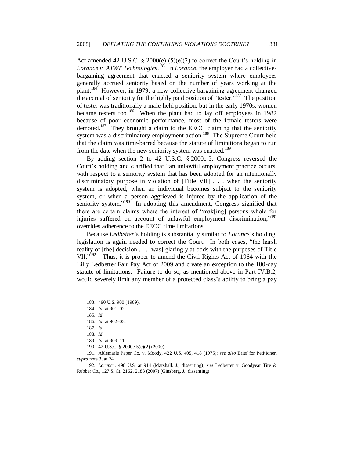Act amended 42 U.S.C. § 2000(e)-(5)(e)(2) to correct the Court's holding in Lorance v. AT&T Technologies.<sup>183</sup> In *Lorance*, the employer had a collectivebargaining agreement that enacted a seniority system where employees generally accrued seniority based on the number of years working at the plant.<sup>184</sup> However, in 1979, a new collective-bargaining agreement changed the accrual of seniority for the highly paid position of "tester."<sup>185</sup> The position of tester was traditionally a male-held position, but in the early 1970s, women became testers too.<sup>186</sup> When the plant had to lay off employees in 1982 because of poor economic performance, most of the female testers were demoted.<sup>187</sup> They brought a claim to the EEOC claiming that the seniority system was a discriminatory employment action.<sup>188</sup> The Supreme Court held that the claim was time-barred because the statute of limitations began to run from the date when the new seniority system was enacted.<sup>189</sup>

By adding section 2 to 42 U.S.C. § 2000e-5, Congress reversed the Court's holding and clarified that "an unlawful employment practice occurs, with respect to a seniority system that has been adopted for an intentionally discriminatory purpose in violation of [Title VII] . . . when the seniority system is adopted, when an individual becomes subject to the seniority system, or when a person aggrieved is injured by the application of the seniority system."<sup>190</sup> In adopting this amendment, Congress signified that there are certain claims where the interest of "mak[ing] persons whole for injuries suffered on account of unlawful employment discrimination,"<sup>191</sup> overrides adherence to the EEOC time limitations.

Because *Ledbetter*'s holding is substantially similar to *Lorance*'s holding, legislation is again needed to correct the Court. In both cases, "the harsh reality of [the] decision . . . [was] glaringly at odds with the purposes of Title VII."<sup>192</sup> Thus, it is proper to amend the Civil Rights Act of 1964 with the Lilly Ledbetter Fair Pay Act of 2009 and create an exception to the 180-day statute of limitations. Failure to do so, as mentioned above in Part IV.B.2, would severely limit any member of a protected class's ability to bring a pay

191. Ablemarle Paper Co. v. Moody, 422 U.S. 405, 418 (1975); *see also* Brief for Petitioner, *supra* note 3, at 24.

192*. Lorance*, 490 U.S. at 914 (Marshall, J., dissenting); *see* Ledbetter v. Goodyear Tire & Rubber Co., 127 S. Ct. 2162, 2183 (2007) (Ginsberg, J., dissenting).

<sup>183.</sup> 490 U.S. 900 (1989).

<sup>184</sup>*. Id.* at 901–02.

<sup>185</sup>*. Id.*

<sup>186</sup>*. Id.* at 902–03.

<sup>187</sup>*. Id.*

<sup>188</sup>*. Id.*

<sup>189</sup>*. Id.* at 909–11.

<sup>190.</sup> 42 U.S.C. § 2000e-5(e)(2) (2000).